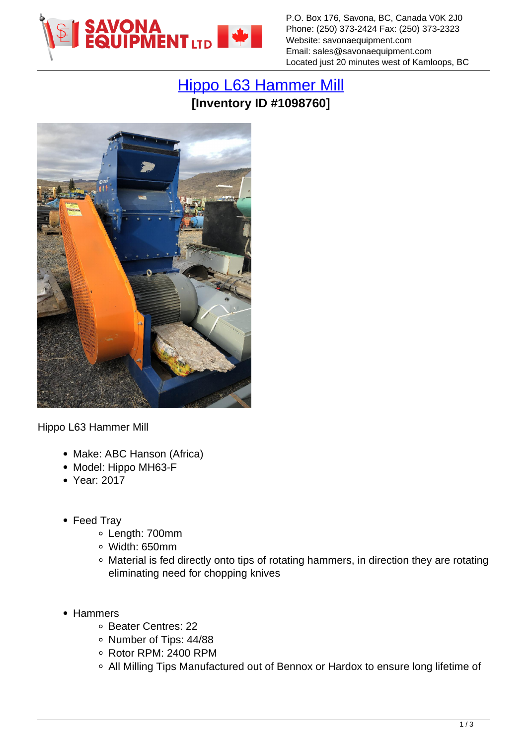

P.O. Box 176, Savona, BC, Canada V0K 2J0 Phone: (250) 373-2424 Fax: (250) 373-2323 Website: savonaequipment.com Email: sales@savonaequipment.com Located just 20 minutes west of Kamloops, BC

## [Hippo L63 Hammer Mill](https://www.savonaequipment.com/en/hippo-l63-hammer-mill-p1098760) **[Inventory ID #1098760]**



Hippo L63 Hammer Mill

- Make: ABC Hanson (Africa)
- Model: Hippo MH63-F
- Year: 2017
- Feed Tray
	- Length: 700mm
	- Width: 650mm
	- Material is fed directly onto tips of rotating hammers, in direction they are rotating eliminating need for chopping knives
- Hammers
	- o Beater Centres: 22
	- o Number of Tips: 44/88
	- Rotor RPM: 2400 RPM
	- All Milling Tips Manufactured out of Bennox or Hardox to ensure long lifetime of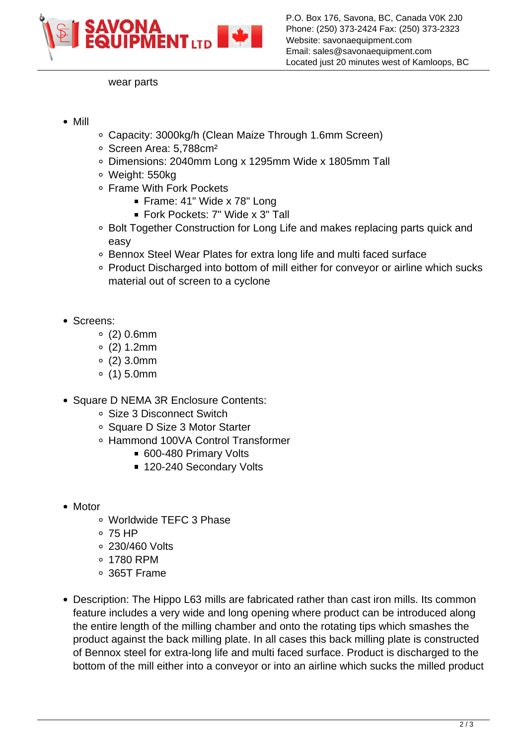

wear parts

- Mill
- Capacity: 3000kg/h (Clean Maize Through 1.6mm Screen)
- Screen Area: 5,788cm²
- Dimensions: 2040mm Long x 1295mm Wide x 1805mm Tall
- Weight: 550kg
- Frame With Fork Pockets
	- Frame: 41" Wide x 78" Long
	- Fork Pockets: 7" Wide x 3" Tall
- Bolt Together Construction for Long Life and makes replacing parts quick and easy
- Bennox Steel Wear Plates for extra long life and multi faced surface
- Product Discharged into bottom of mill either for conveyor or airline which sucks material out of screen to a cyclone
- Screens:
	- $0.6$ mm
	- $0(2)$  1.2mm
	- $0(2)$  3.0mm
	- $0(1)$  5.0mm
- Square D NEMA 3R Enclosure Contents:
	- Size 3 Disconnect Switch
	- Square D Size 3 Motor Starter
	- Hammond 100VA Control Transformer
		- 600-480 Primary Volts
		- 120-240 Secondary Volts
- Motor
	- Worldwide TEFC 3 Phase
	- 75 HP
	- 230/460 Volts
	- 1780 RPM
	- 365T Frame
- Description: The Hippo L63 mills are fabricated rather than cast iron mills. Its common feature includes a very wide and long opening where product can be introduced along the entire length of the milling chamber and onto the rotating tips which smashes the product against the back milling plate. In all cases this back milling plate is constructed of Bennox steel for extra-long life and multi faced surface. Product is discharged to the bottom of the mill either into a conveyor or into an airline which sucks the milled product